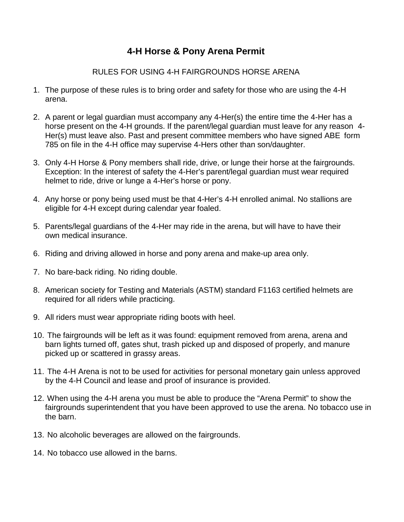## **4-H Horse & Pony Arena Permit**

## RULES FOR USING 4-H FAIRGROUNDS HORSE ARENA

- 1. The purpose of these rules is to bring order and safety for those who are using the 4-H arena.
- 2. A parent or legal guardian must accompany any 4-Her(s) the entire time the 4-Her has a horse present on the 4-H grounds. If the parent/legal guardian must leave for any reason 4- Her(s) must leave also. Past and present committee members who have signed ABE form 785 on file in the 4-H office may supervise 4-Hers other than son/daughter.
- 3. Only 4-H Horse & Pony members shall ride, drive, or lunge their horse at the fairgrounds. Exception: In the interest of safety the 4-Her's parent/legal guardian must wear required helmet to ride, drive or lunge a 4-Her's horse or pony.
- 4. Any horse or pony being used must be that 4-Her's 4-H enrolled animal. No stallions are eligible for 4-H except during calendar year foaled.
- 5. Parents/legal guardians of the 4-Her may ride in the arena, but will have to have their own medical insurance.
- 6. Riding and driving allowed in horse and pony arena and make-up area only.
- 7. No bare-back riding. No riding double.
- 8. American society for Testing and Materials (ASTM) standard F1163 certified helmets are required for all riders while practicing.
- 9. All riders must wear appropriate riding boots with heel.
- 10. The fairgrounds will be left as it was found: equipment removed from arena, arena and barn lights turned off, gates shut, trash picked up and disposed of properly, and manure picked up or scattered in grassy areas.
- 11. The 4-H Arena is not to be used for activities for personal monetary gain unless approved by the 4-H Council and lease and proof of insurance is provided.
- 12. When using the 4-H arena you must be able to produce the "Arena Permit" to show the fairgrounds superintendent that you have been approved to use the arena. No tobacco use in the barn.
- 13. No alcoholic beverages are allowed on the fairgrounds.
- 14. No tobacco use allowed in the barns.